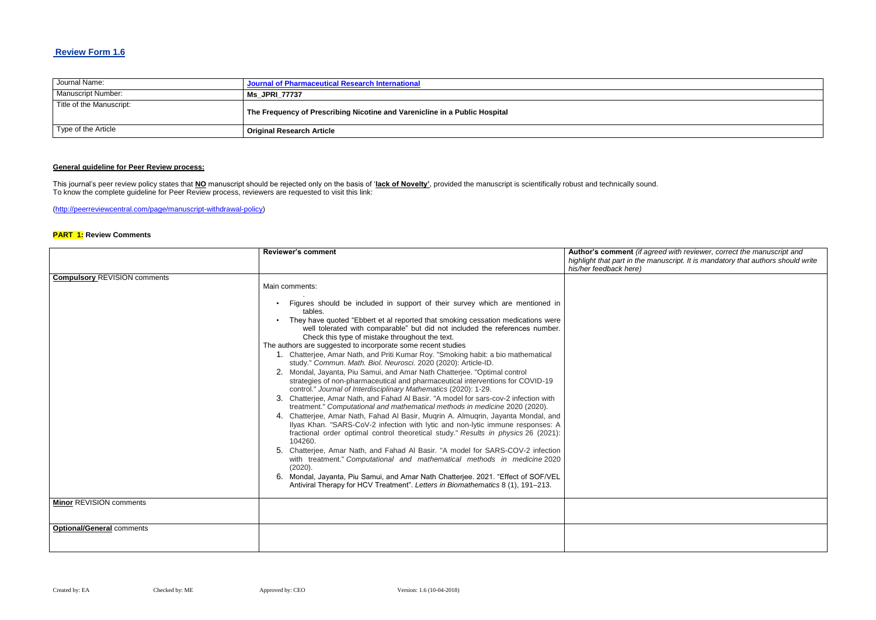# **Review Form 1.6**

| Journal Name:            | Journal of Pharmaceutical Research International                           |
|--------------------------|----------------------------------------------------------------------------|
| Manuscript Number:       | <b>Ms JPRI 77737</b>                                                       |
| Title of the Manuscript: | The Frequency of Prescribing Nicotine and Varenicline in a Public Hospital |
| Type of the Article      | <b>Original Research Article</b>                                           |

# **General guideline for Peer Review process:**

#### $B$ eed with reviewer, correct the manuscript and *highlight that part in the manuscript. It is mandatory that authors should write*

This journal's peer review policy states that **NO** manuscript should be rejected only on the basis of '**lack of Novelty'**, provided the manuscript is scientifically robust and technically sound. To know the complete guideline for Peer Review process, reviewers are requested to visit this link:

[\(http://peerreviewcentral.com/page/manuscript-withdrawal-policy\)](http://peerreviewcentral.com/page/manuscript-withdrawal-policy)

### **PART 1: Review Comments**

|                                     | <b>Reviewer's comment</b>                                                                                                                                                                                                                                                                                                                                                                                                                                                                                                                                                                                                                                                                                                                                                                                                                                                                                                                                                                                                                                                                                                                                                                                                                                                                                                                                                                                                                                                                                                                                                                    | Author's comment (if agre                               |
|-------------------------------------|----------------------------------------------------------------------------------------------------------------------------------------------------------------------------------------------------------------------------------------------------------------------------------------------------------------------------------------------------------------------------------------------------------------------------------------------------------------------------------------------------------------------------------------------------------------------------------------------------------------------------------------------------------------------------------------------------------------------------------------------------------------------------------------------------------------------------------------------------------------------------------------------------------------------------------------------------------------------------------------------------------------------------------------------------------------------------------------------------------------------------------------------------------------------------------------------------------------------------------------------------------------------------------------------------------------------------------------------------------------------------------------------------------------------------------------------------------------------------------------------------------------------------------------------------------------------------------------------|---------------------------------------------------------|
|                                     |                                                                                                                                                                                                                                                                                                                                                                                                                                                                                                                                                                                                                                                                                                                                                                                                                                                                                                                                                                                                                                                                                                                                                                                                                                                                                                                                                                                                                                                                                                                                                                                              | highlight that part in the ma<br>his/her feedback here) |
| <b>Compulsory REVISION comments</b> | Main comments:<br>Figures should be included in support of their survey which are mentioned in<br>tables.<br>They have quoted "Ebbert et al reported that smoking cessation medications were<br>well tolerated with comparable" but did not included the references number.<br>Check this type of mistake throughout the text.<br>The authors are suggested to incorporate some recent studies<br>1. Chatterjee, Amar Nath, and Priti Kumar Roy. "Smoking habit: a bio mathematical<br>study." Commun. Math. Biol. Neurosci. 2020 (2020): Article-ID.<br>2. Mondal, Jayanta, Piu Samui, and Amar Nath Chatterjee. "Optimal control<br>strategies of non-pharmaceutical and pharmaceutical interventions for COVID-19<br>control." Journal of Interdisciplinary Mathematics (2020): 1-29.<br>3. Chatterjee, Amar Nath, and Fahad Al Basir. "A model for sars-cov-2 infection with<br>treatment." Computational and mathematical methods in medicine 2020 (2020).<br>4. Chatterjee, Amar Nath, Fahad Al Basir, Muqrin A. Almuqrin, Jayanta Mondal, and<br>Ilyas Khan. "SARS-CoV-2 infection with lytic and non-lytic immune responses: A<br>fractional order optimal control theoretical study." Results in physics 26 (2021):<br>104260.<br>5. Chatterjee, Amar Nath, and Fahad Al Basir. "A model for SARS-COV-2 infection<br>with treatment." Computational and mathematical methods in medicine 2020<br>(2020).<br>Mondal, Jayanta, Piu Samui, and Amar Nath Chatterjee. 2021. "Effect of SOF/VEL<br>6.<br>Antiviral Therapy for HCV Treatment". Letters in Biomathematics 8 (1), 191–213. |                                                         |
| <b>Minor REVISION comments</b>      |                                                                                                                                                                                                                                                                                                                                                                                                                                                                                                                                                                                                                                                                                                                                                                                                                                                                                                                                                                                                                                                                                                                                                                                                                                                                                                                                                                                                                                                                                                                                                                                              |                                                         |
| <b>Optional/General comments</b>    |                                                                                                                                                                                                                                                                                                                                                                                                                                                                                                                                                                                                                                                                                                                                                                                                                                                                                                                                                                                                                                                                                                                                                                                                                                                                                                                                                                                                                                                                                                                                                                                              |                                                         |